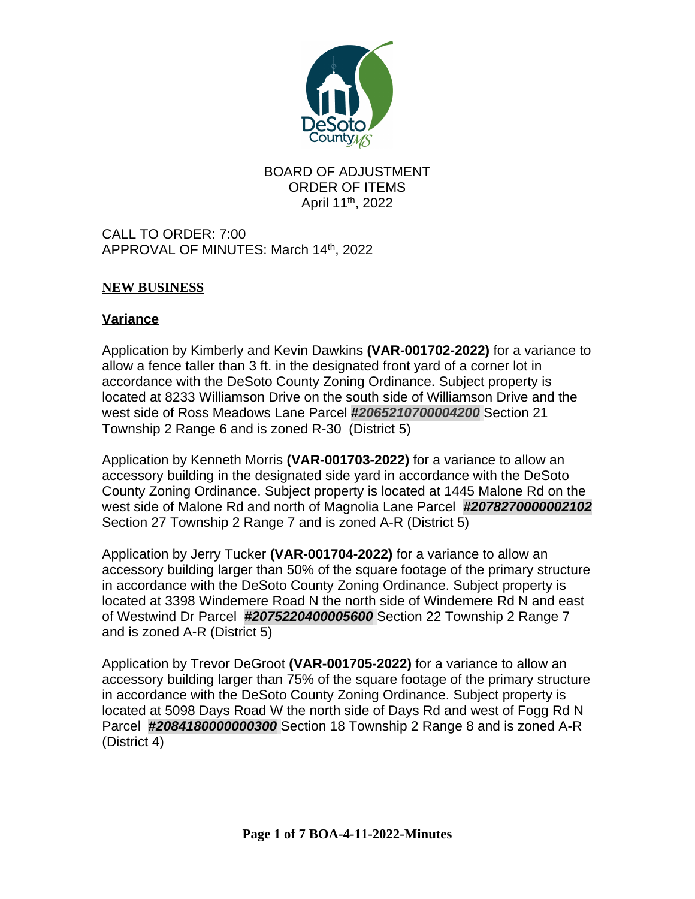

BOARD OF ADJUSTMENT ORDER OF ITEMS April 11<sup>th</sup>, 2022

CALL TO ORDER: 7:00 APPROVAL OF MINUTES: March 14 th, 2022

## **NEW BUSINESS**

#### **Variance**

Application by Kimberly and Kevin Dawkins **(VAR-001702-2022)** for a variance to allow a fence taller than 3 ft. in the designated front yard of a corner lot in accordance with the DeSoto County Zoning Ordinance. Subject property is located at 8233 Williamson Drive on the south side of Williamson Drive and the west side of Ross Meadows Lane Parcel **#***2065210700004200* Section 21 Township 2 Range 6 and is zoned R-30 (District 5)

Application by Kenneth Morris **(VAR-001703-2022)** for a variance to allow an accessory building in the designated side yard in accordance with the DeSoto County Zoning Ordinance. Subject property is located at 1445 Malone Rd on the west side of Malone Rd and north of Magnolia Lane Parcel *#2078270000002102* Section 27 Township 2 Range 7 and is zoned A-R (District 5)

Application by Jerry Tucker **(VAR-001704-2022)** for a variance to allow an accessory building larger than 50% of the square footage of the primary structure in accordance with the DeSoto County Zoning Ordinance. Subject property is located at 3398 Windemere Road N the north side of Windemere Rd N and east of Westwind Dr Parcel *#2075220400005600* Section 22 Township 2 Range 7 and is zoned A-R (District 5)

Application by Trevor DeGroot **(VAR-001705-2022)** for a variance to allow an accessory building larger than 75% of the square footage of the primary structure in accordance with the DeSoto County Zoning Ordinance. Subject property is located at 5098 Days Road W the north side of Days Rd and west of Fogg Rd N Parcel *#2084180000000300* Section 18 Township 2 Range 8 and is zoned A-R (District 4)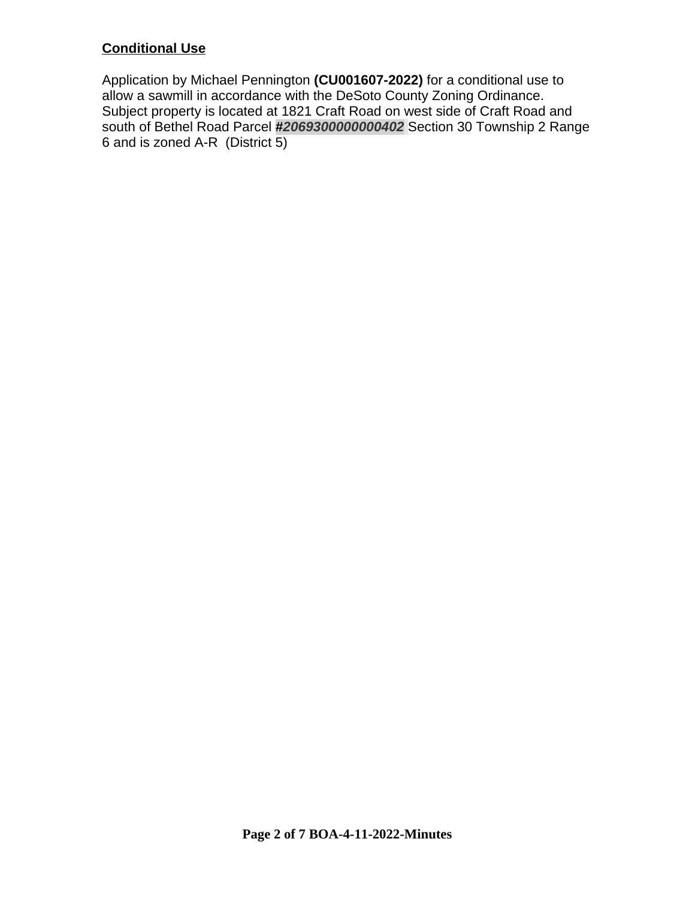# **Conditional Use**

Application by Michael Pennington **(CU001607-2022)** for a conditional use to allow a sawmill in accordance with the DeSoto County Zoning Ordinance. Subject property is located at 1821 Craft Road on west side of Craft Road and south of Bethel Road Parcel **#***2069300000000402* Section 30 Township 2 Range 6 and is zoned A-R (District 5)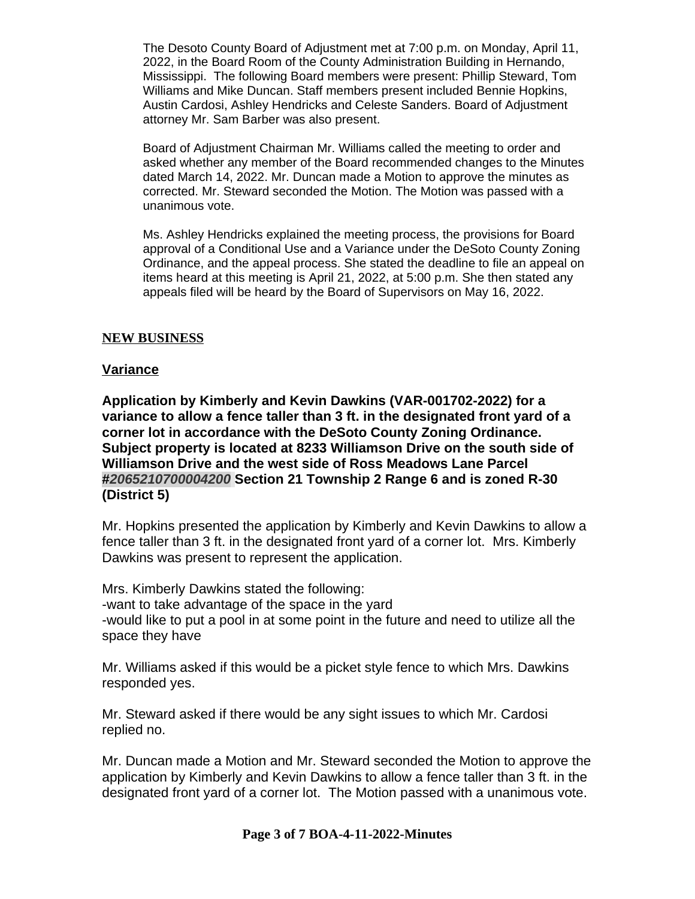The Desoto County Board of Adjustment met at 7:00 p.m. on Monday, April 11, 2022, in the Board Room of the County Administration Building in Hernando, Mississippi. The following Board members were present: Phillip Steward, Tom Williams and Mike Duncan. Staff members present included Bennie Hopkins, Austin Cardosi, Ashley Hendricks and Celeste Sanders. Board of Adjustment attorney Mr. Sam Barber was also present.

Board of Adjustment Chairman Mr. Williams called the meeting to order and asked whether any member of the Board recommended changes to the Minutes dated March 14, 2022. Mr. Duncan made a Motion to approve the minutes as corrected. Mr. Steward seconded the Motion. The Motion was passed with a unanimous vote.

Ms. Ashley Hendricks explained the meeting process, the provisions for Board approval of a Conditional Use and a Variance under the DeSoto County Zoning Ordinance, and the appeal process. She stated the deadline to file an appeal on items heard at this meeting is April 21, 2022, at 5:00 p.m. She then stated any appeals filed will be heard by the Board of Supervisors on May 16, 2022.

#### **NEW BUSINESS**

#### **Variance**

**Application by Kimberly and Kevin Dawkins (VAR-001702-2022) for a variance to allow a fence taller than 3 ft. in the designated front yard of a corner lot in accordance with the DeSoto County Zoning Ordinance. Subject property is located at 8233 Williamson Drive on the south side of Williamson Drive and the west side of Ross Meadows Lane Parcel #***2065210700004200* **Section 21 Township 2 Range 6 and is zoned R-30 (District 5)**

Mr. Hopkins presented the application by Kimberly and Kevin Dawkins to allow a fence taller than 3 ft. in the designated front yard of a corner lot. Mrs. Kimberly Dawkins was present to represent the application.

Mrs. Kimberly Dawkins stated the following: -want to take advantage of the space in the yard -would like to put a pool in at some point in the future and need to utilize all the space they have

Mr. Williams asked if this would be a picket style fence to which Mrs. Dawkins responded yes.

Mr. Steward asked if there would be any sight issues to which Mr. Cardosi replied no.

Mr. Duncan made a Motion and Mr. Steward seconded the Motion to approve the application by Kimberly and Kevin Dawkins to allow a fence taller than 3 ft. in the designated front yard of a corner lot. The Motion passed with a unanimous vote.

#### **Page 3 of 7 BOA-4-11-2022-Minutes**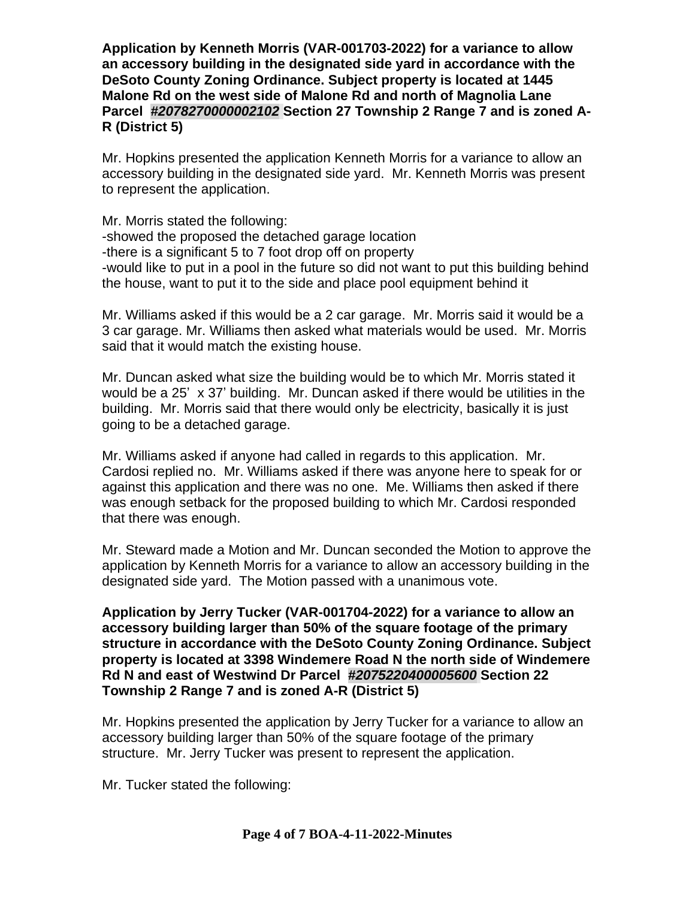**Application by Kenneth Morris (VAR-001703-2022) for a variance to allow an accessory building in the designated side yard in accordance with the DeSoto County Zoning Ordinance. Subject property is located at 1445 Malone Rd on the west side of Malone Rd and north of Magnolia Lane Parcel** *#2078270000002102* **Section 27 Township 2 Range 7 and is zoned A-R (District 5)**

Mr. Hopkins presented the application Kenneth Morris for a variance to allow an accessory building in the designated side yard. Mr. Kenneth Morris was present to represent the application.

Mr. Morris stated the following: -showed the proposed the detached garage location -there is a significant 5 to 7 foot drop off on property -would like to put in a pool in the future so did not want to put this building behind the house, want to put it to the side and place pool equipment behind it

Mr. Williams asked if this would be a 2 car garage. Mr. Morris said it would be a 3 car garage. Mr. Williams then asked what materials would be used. Mr. Morris said that it would match the existing house.

Mr. Duncan asked what size the building would be to which Mr. Morris stated it would be a 25' x 37' building. Mr. Duncan asked if there would be utilities in the building. Mr. Morris said that there would only be electricity, basically it is just going to be a detached garage.

Mr. Williams asked if anyone had called in regards to this application. Mr. Cardosi replied no. Mr. Williams asked if there was anyone here to speak for or against this application and there was no one. Me. Williams then asked if there was enough setback for the proposed building to which Mr. Cardosi responded that there was enough.

Mr. Steward made a Motion and Mr. Duncan seconded the Motion to approve the application by Kenneth Morris for a variance to allow an accessory building in the designated side yard. The Motion passed with a unanimous vote.

**Application by Jerry Tucker (VAR-001704-2022) for a variance to allow an accessory building larger than 50% of the square footage of the primary structure in accordance with the DeSoto County Zoning Ordinance. Subject property is located at 3398 Windemere Road N the north side of Windemere Rd N and east of Westwind Dr Parcel** *#2075220400005600* **Section 22 Township 2 Range 7 and is zoned A-R (District 5)**

Mr. Hopkins presented the application by Jerry Tucker for a variance to allow an accessory building larger than 50% of the square footage of the primary structure. Mr. Jerry Tucker was present to represent the application.

Mr. Tucker stated the following: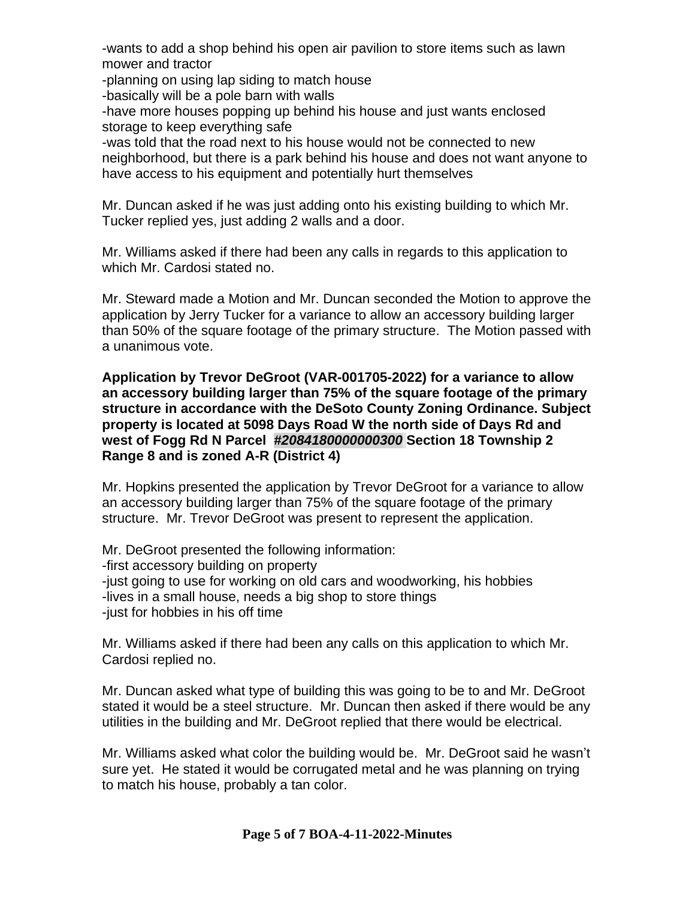-wants to add a shop behind his open air pavilion to store items such as lawn mower and tractor

-planning on using lap siding to match house

-basically will be a pole barn with walls

-have more houses popping up behind his house and just wants enclosed storage to keep everything safe

-was told that the road next to his house would not be connected to new neighborhood, but there is a park behind his house and does not want anyone to have access to his equipment and potentially hurt themselves

Mr. Duncan asked if he was just adding onto his existing building to which Mr. Tucker replied yes, just adding 2 walls and a door.

Mr. Williams asked if there had been any calls in regards to this application to which Mr. Cardosi stated no.

Mr. Steward made a Motion and Mr. Duncan seconded the Motion to approve the application by Jerry Tucker for a variance to allow an accessory building larger than 50% of the square footage of the primary structure. The Motion passed with a unanimous vote.

**Application by Trevor DeGroot (VAR-001705-2022) for a variance to allow an accessory building larger than 75% of the square footage of the primary structure in accordance with the DeSoto County Zoning Ordinance. Subject property is located at 5098 Days Road W the north side of Days Rd and west of Fogg Rd N Parcel** *#2084180000000300* **Section 18 Township 2 Range 8 and is zoned A-R (District 4)**

Mr. Hopkins presented the application by Trevor DeGroot for a variance to allow an accessory building larger than 75% of the square footage of the primary structure. Mr. Trevor DeGroot was present to represent the application.

Mr. DeGroot presented the following information: -first accessory building on property -just going to use for working on old cars and woodworking, his hobbies -lives in a small house, needs a big shop to store things -just for hobbies in his off time

Mr. Williams asked if there had been any calls on this application to which Mr. Cardosi replied no.

Mr. Duncan asked what type of building this was going to be to and Mr. DeGroot stated it would be a steel structure. Mr. Duncan then asked if there would be any utilities in the building and Mr. DeGroot replied that there would be electrical.

Mr. Williams asked what color the building would be. Mr. DeGroot said he wasn't sure yet. He stated it would be corrugated metal and he was planning on trying to match his house, probably a tan color.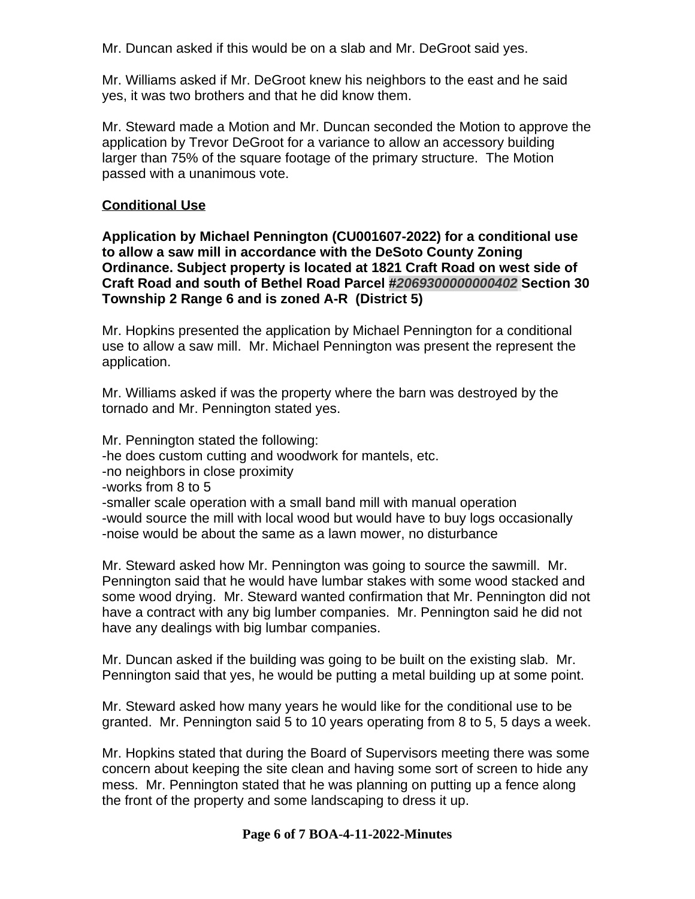Mr. Duncan asked if this would be on a slab and Mr. DeGroot said yes.

Mr. Williams asked if Mr. DeGroot knew his neighbors to the east and he said yes, it was two brothers and that he did know them.

Mr. Steward made a Motion and Mr. Duncan seconded the Motion to approve the application by Trevor DeGroot for a variance to allow an accessory building larger than 75% of the square footage of the primary structure. The Motion passed with a unanimous vote.

# **Conditional Use**

**Application by Michael Pennington (CU001607-2022) for a conditional use to allow a saw mill in accordance with the DeSoto County Zoning Ordinance. Subject property is located at 1821 Craft Road on west side of Craft Road and south of Bethel Road Parcel #***2069300000000402* **Section 30 Township 2 Range 6 and is zoned A-R (District 5)**

Mr. Hopkins presented the application by Michael Pennington for a conditional use to allow a saw mill. Mr. Michael Pennington was present the represent the application.

Mr. Williams asked if was the property where the barn was destroyed by the tornado and Mr. Pennington stated yes.

Mr. Pennington stated the following:

-he does custom cutting and woodwork for mantels, etc.

- -no neighbors in close proximity
- -works from 8 to 5

-smaller scale operation with a small band mill with manual operation -would source the mill with local wood but would have to buy logs occasionally -noise would be about the same as a lawn mower, no disturbance

Mr. Steward asked how Mr. Pennington was going to source the sawmill. Mr. Pennington said that he would have lumbar stakes with some wood stacked and some wood drying. Mr. Steward wanted confirmation that Mr. Pennington did not have a contract with any big lumber companies. Mr. Pennington said he did not have any dealings with big lumbar companies.

Mr. Duncan asked if the building was going to be built on the existing slab. Mr. Pennington said that yes, he would be putting a metal building up at some point.

Mr. Steward asked how many years he would like for the conditional use to be granted. Mr. Pennington said 5 to 10 years operating from 8 to 5, 5 days a week.

Mr. Hopkins stated that during the Board of Supervisors meeting there was some concern about keeping the site clean and having some sort of screen to hide any mess. Mr. Pennington stated that he was planning on putting up a fence along the front of the property and some landscaping to dress it up.

## **Page 6 of 7 BOA-4-11-2022-Minutes**